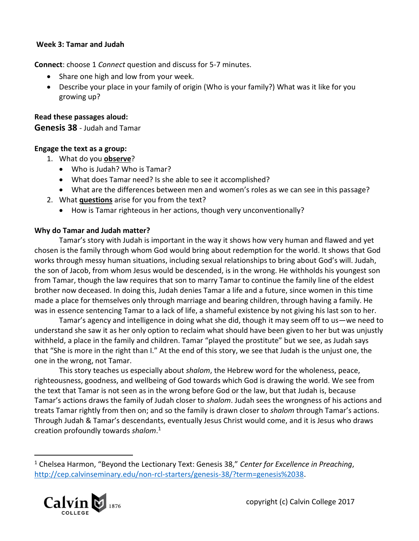## **Week 3: Tamar and Judah**

**Connect**: choose 1 *Connect* question and discuss for 5-7 minutes.

- Share one high and low from your week.
- Describe your place in your family of origin (Who is your family?) What was it like for you growing up?

## **Read these passages aloud:**

## **Genesis 38** - Judah and Tamar

## **Engage the text as a group:**

- 1. What do you **observe**?
	- Who is Judah? Who is Tamar?
	- What does Tamar need? Is she able to see it accomplished?
	- What are the differences between men and women's roles as we can see in this passage?
- 2. What **questions** arise for you from the text?
	- How is Tamar righteous in her actions, though very unconventionally?

# **Why do Tamar and Judah matter?**

Tamar's story with Judah is important in the way it shows how very human and flawed and yet chosen is the family through whom God would bring about redemption for the world. It shows that God works through messy human situations, including sexual relationships to bring about God's will. Judah, the son of Jacob, from whom Jesus would be descended, is in the wrong. He withholds his youngest son from Tamar, though the law requires that son to marry Tamar to continue the family line of the eldest brother now deceased. In doing this, Judah denies Tamar a life and a future, since women in this time made a place for themselves only through marriage and bearing children, through having a family. He was in essence sentencing Tamar to a lack of life, a shameful existence by not giving his last son to her.

Tamar's agency and intelligence in doing what she did, though it may seem off to us—we need to understand she saw it as her only option to reclaim what should have been given to her but was unjustly withheld, a place in the family and children. Tamar "played the prostitute" but we see, as Judah says that "She is more in the right than I." At the end of this story, we see that Judah is the unjust one, the one in the wrong, not Tamar.

This story teaches us especially about *shalom*, the Hebrew word for the wholeness, peace, righteousness, goodness, and wellbeing of God towards which God is drawing the world. We see from the text that Tamar is not seen as in the wrong before God or the law, but that Judah is, because Tamar's actions draws the family of Judah closer to *shalom*. Judah sees the wrongness of his actions and treats Tamar rightly from then on; and so the family is drawn closer to *shalom* through Tamar's actions. Through Judah & Tamar's descendants, eventually Jesus Christ would come, and it is Jesus who draws creation profoundly towards *shalom*. 1

<sup>1</sup> Chelsea Harmon, "Beyond the Lectionary Text: Genesis 38," *Center for Excellence in Preaching*, [http://cep.calvinseminary.edu/non-rcl-starters/genesis-38/?term=genesis%2038.](http://cep.calvinseminary.edu/non-rcl-starters/genesis-38/?term=genesis%2038)



 $\overline{a}$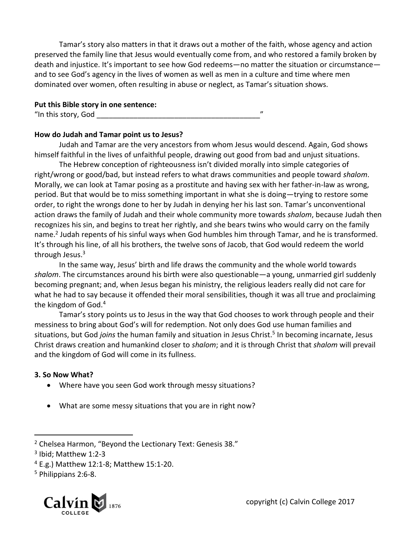Tamar's story also matters in that it draws out a mother of the faith, whose agency and action preserved the family line that Jesus would eventually come from, and who restored a family broken by death and injustice. It's important to see how God redeems—no matter the situation or circumstance and to see God's agency in the lives of women as well as men in a culture and time where men dominated over women, often resulting in abuse or neglect, as Tamar's situation shows.

## **Put this Bible story in one sentence:**

"In this story, God  $\overline{\phantom{a}}$ 

#### **How do Judah and Tamar point us to Jesus?**

Judah and Tamar are the very ancestors from whom Jesus would descend. Again, God shows himself faithful in the lives of unfaithful people, drawing out good from bad and unjust situations.

The Hebrew conception of righteousness isn't divided morally into simple categories of right/wrong or good/bad, but instead refers to what draws communities and people toward *shalom*. Morally, we can look at Tamar posing as a prostitute and having sex with her father-in-law as wrong, period. But that would be to miss something important in what she is doing—trying to restore some order, to right the wrongs done to her by Judah in denying her his last son. Tamar's unconventional action draws the family of Judah and their whole community more towards *shalom*, because Judah then recognizes his sin, and begins to treat her rightly, and she bears twins who would carry on the family name.<sup>2</sup> Judah repents of his sinful ways when God humbles him through Tamar, and he is transformed. It's through his line, of all his brothers, the twelve sons of Jacob, that God would redeem the world through Jesus.<sup>3</sup>

In the same way, Jesus' birth and life draws the community and the whole world towards *shalom*. The circumstances around his birth were also questionable—a young, unmarried girl suddenly becoming pregnant; and, when Jesus began his ministry, the religious leaders really did not care for what he had to say because it offended their moral sensibilities, though it was all true and proclaiming the kingdom of God.<sup>4</sup>

Tamar's story points us to Jesus in the way that God chooses to work through people and their messiness to bring about God's will for redemption. Not only does God use human families and situations, but God *joins* the human family and situation in Jesus Christ.<sup>5</sup> In becoming incarnate, Jesus Christ draws creation and humankind closer to *shalom*; and it is through Christ that *shalom* will prevail and the kingdom of God will come in its fullness.

# **3. So Now What?**

- Where have you seen God work through messy situations?
- What are some messy situations that you are in right now?

 $\overline{a}$ 



<sup>2</sup> Chelsea Harmon, "Beyond the Lectionary Text: Genesis 38."

<sup>3</sup> Ibid; Matthew 1:2-3

 $4$  E.g.) Matthew 12:1-8; Matthew 15:1-20.

<sup>5</sup> Philippians 2:6-8.